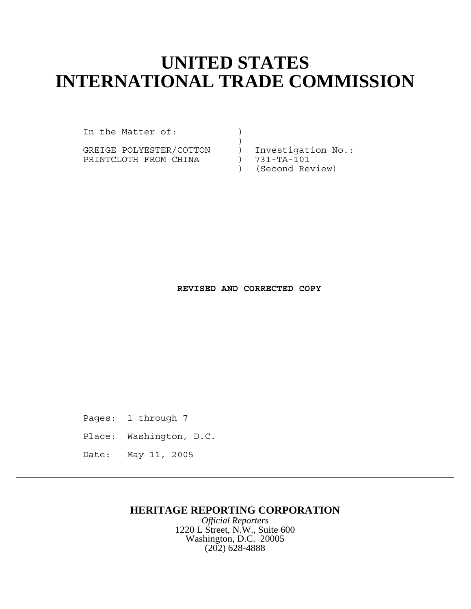# **UNITED STATES INTERNATIONAL TRADE COMMISSION**

In the Matter of:  $\qquad)$  $)$ 

GREIGE POLYESTER/COTTON ) Investigation No.: PRINTCLOTH FROM CHINA (731-TA-101)

) (Second Review)

**REVISED AND CORRECTED COPY**

Pages: 1 through 7

Place: Washington, D.C.

Date: May 11, 2005

## **HERITAGE REPORTING CORPORATION**

*Official Reporters* 1220 L Street, N.W., Suite 600 Washington, D.C. 20005 (202) 628-4888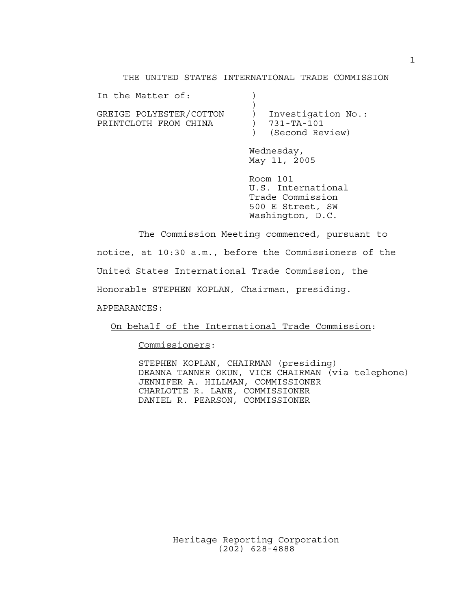#### THE UNITED STATES INTERNATIONAL TRADE COMMISSION

| In the Matter of:       |                    |
|-------------------------|--------------------|
|                         |                    |
| GREIGE POLYESTER/COTTON | Investigation No.: |
| PRINTCLOTH FROM CHINA   | 731-TA-101         |
|                         | (Second Review)    |

Wednesday, May 11, 2005

Room 101 U.S. International Trade Commission 500 E Street, SW Washington, D.C.

The Commission Meeting commenced, pursuant to notice, at 10:30 a.m., before the Commissioners of the United States International Trade Commission, the Honorable STEPHEN KOPLAN, Chairman, presiding. APPEARANCES:

On behalf of the International Trade Commission:

Commissioners:

STEPHEN KOPLAN, CHAIRMAN (presiding) DEANNA TANNER OKUN, VICE CHAIRMAN (via telephone) JENNIFER A. HILLMAN, COMMISSIONER CHARLOTTE R. LANE, COMMISSIONER DANIEL R. PEARSON, COMMISSIONER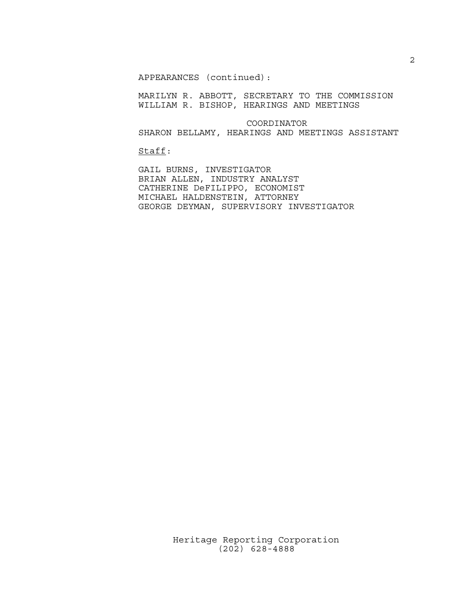APPEARANCES (continued):

MARILYN R. ABBOTT, SECRETARY TO THE COMMISSION WILLIAM R. BISHOP, HEARINGS AND MEETINGS

 COORDINATOR SHARON BELLAMY, HEARINGS AND MEETINGS ASSISTANT

Staff:

GAIL BURNS, INVESTIGATOR BRIAN ALLEN, INDUSTRY ANALYST CATHERINE DeFILIPPO, ECONOMIST MICHAEL HALDENSTEIN, ATTORNEY GEORGE DEYMAN, SUPERVISORY INVESTIGATOR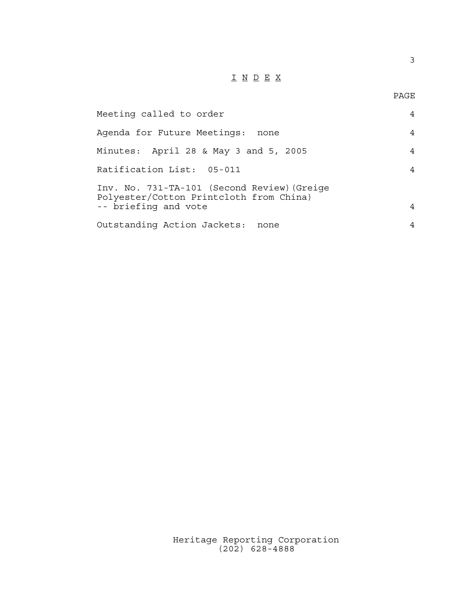## I N D E X

PAGE

3

| Meeting called to order                                                                                        | 4 |
|----------------------------------------------------------------------------------------------------------------|---|
| Agenda for Future Meetings:<br>none                                                                            | 4 |
| Minutes: April 28 & May 3 and 5, 2005                                                                          | 4 |
| Ratification List: 05-011                                                                                      | 4 |
| Inv. No. 731-TA-101 (Second Review) (Greige<br>Polyester/Cotton Printcloth from China)<br>-- briefing and vote | 4 |
| Outstanding Action Jackets:<br>none                                                                            | 4 |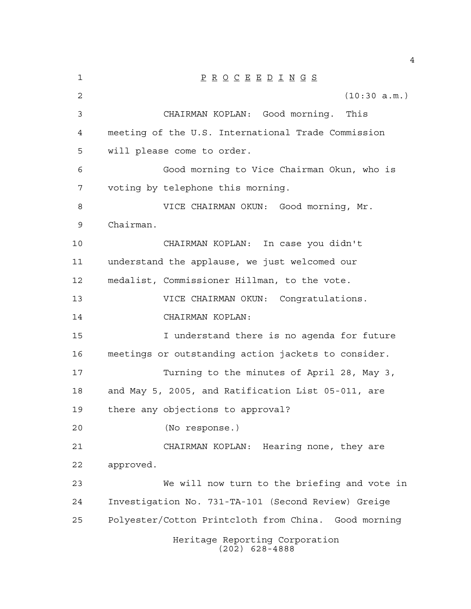| 1              | $\underline{P} \underline{R} \underline{O} \underline{C} \underline{E} \underline{E} \underline{D} \underline{I} \underline{N} \underline{G} \underline{S}$ |
|----------------|-------------------------------------------------------------------------------------------------------------------------------------------------------------|
| $\overline{2}$ | (10:30 a.m.)                                                                                                                                                |
| 3              | CHAIRMAN KOPLAN: Good morning. This                                                                                                                         |
| 4              | meeting of the U.S. International Trade Commission                                                                                                          |
| 5              | will please come to order.                                                                                                                                  |
| 6              | Good morning to Vice Chairman Okun, who is                                                                                                                  |
| 7              | voting by telephone this morning.                                                                                                                           |
| 8              | VICE CHAIRMAN OKUN: Good morning, Mr.                                                                                                                       |
| 9              | Chairman.                                                                                                                                                   |
| 10             | CHAIRMAN KOPLAN: In case you didn't                                                                                                                         |
| 11             | understand the applause, we just welcomed our                                                                                                               |
| 12             | medalist, Commissioner Hillman, to the vote.                                                                                                                |
| 13             | VICE CHAIRMAN OKUN: Congratulations.                                                                                                                        |
| 14             | CHAIRMAN KOPLAN:                                                                                                                                            |
| 15             | I understand there is no agenda for future                                                                                                                  |
| 16             | meetings or outstanding action jackets to consider.                                                                                                         |
| 17             | Turning to the minutes of April 28, May 3,                                                                                                                  |
| 18             | and May 5, 2005, and Ratification List 05-011, are                                                                                                          |
| 19             | there any objections to approval?                                                                                                                           |
| 20             | (No response.)                                                                                                                                              |
| 21             | CHAIRMAN KOPLAN: Hearing none, they are                                                                                                                     |
| 22             | approved.                                                                                                                                                   |
| 23             | We will now turn to the briefing and vote in                                                                                                                |
| 24             | Investigation No. 731-TA-101 (Second Review) Greige                                                                                                         |
| 25             | Polyester/Cotton Printcloth from China. Good morning                                                                                                        |
|                | Heritage Reporting Corporation<br>$(202)$ 628-4888                                                                                                          |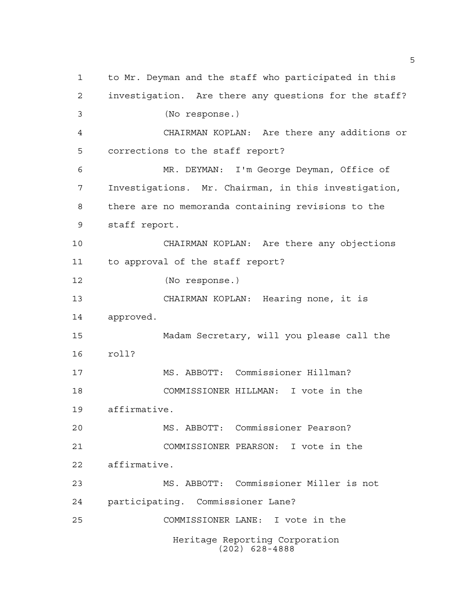Heritage Reporting Corporation (202) 628-4888 to Mr. Deyman and the staff who participated in this investigation. Are there any questions for the staff? (No response.) CHAIRMAN KOPLAN: Are there any additions or corrections to the staff report? MR. DEYMAN: I'm George Deyman, Office of Investigations. Mr. Chairman, in this investigation, there are no memoranda containing revisions to the staff report. CHAIRMAN KOPLAN: Are there any objections to approval of the staff report? (No response.) CHAIRMAN KOPLAN: Hearing none, it is approved. Madam Secretary, will you please call the roll? MS. ABBOTT: Commissioner Hillman? COMMISSIONER HILLMAN: I vote in the affirmative. MS. ABBOTT: Commissioner Pearson? COMMISSIONER PEARSON: I vote in the affirmative. MS. ABBOTT: Commissioner Miller is not participating. Commissioner Lane? COMMISSIONER LANE: I vote in the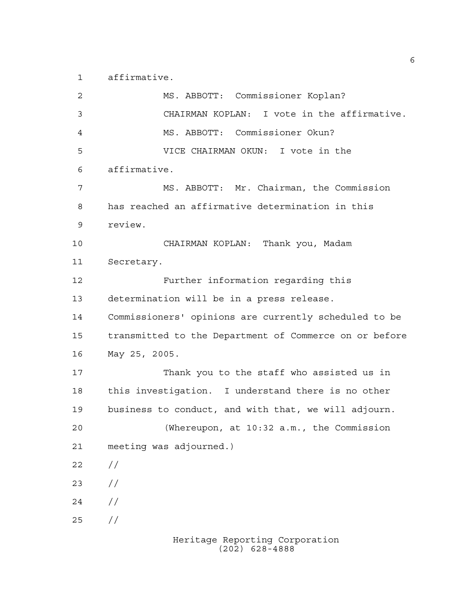affirmative.

Heritage Reporting Corporation MS. ABBOTT: Commissioner Koplan? CHAIRMAN KOPLAN: I vote in the affirmative. MS. ABBOTT: Commissioner Okun? VICE CHAIRMAN OKUN: I vote in the affirmative. MS. ABBOTT: Mr. Chairman, the Commission has reached an affirmative determination in this review. CHAIRMAN KOPLAN: Thank you, Madam Secretary. Further information regarding this determination will be in a press release. Commissioners' opinions are currently scheduled to be transmitted to the Department of Commerce on or before May 25, 2005. Thank you to the staff who assisted us in this investigation. I understand there is no other business to conduct, and with that, we will adjourn. (Whereupon, at 10:32 a.m., the Commission meeting was adjourned.)  $22 / /$  $23 / /$  $24 /$ //

(202) 628-4888